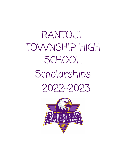RANTOUL TOWNSHIP HIGH **SCHOOL** Scholarships 2022-2023

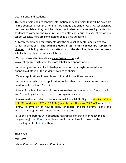Dear Parents and Students,

This scholarship booklet contains information on scholarships that will be available in the counseling center or on-line throughout this school year. As scholarships become available, they will be placed in folders in the counseling center for students to come by and pick up. You can also check out the excel sheet on our school website. Here are some helpful scholarship guidelines:

~ I highly recommend that students visit the counseling center once a week to gather applications. **The deadline dates listed in this booklet are subject to change** so it is important to pay attention to the deadline date listed on each scholarship application, which will be current.

~Two good websites to visit are www.fastweb.com and www.collegegreenlight.com for more scholarship opportunities.

~Another great source of scholarship information is through the website and financial aid office of the student's college of choice.

~Type all applications if possible and follow all instructions carefully!!

~All completed scholarship applications, unless they are to be submitted on-line, need to be turned into Mrs. Sims.

~Many of the March scholarships require teacher recommendation forms. I will visit Senior English classes in January to explain this process.

~Please mark your calendars for our annual Financial Aid Night on Monday 09/19 at 6:30 PM, Wednesday 9/21 at 6:30 PM (Spanish), and Thursday 9/22 9 AM in the RTHS library. Information on how to apply for federal and state grants, loans, and work-study programs will be presented at this time.

~Students and parents with questions regarding scholarships can reach me at megansims@rths193.org or students can fill out a blue slip or stop by the counseling center to visit with me.

Thank you, Mrs. Sims

School Counselor/Scholarship Coordinator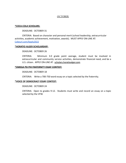# **OCTOBER**

## **\*COCA-COLA SCHOLARS:**

# DEADLINE: OCTOBER 31

CRITERIA: Based on character and personal merit (school leadership, extracurricular activities, academic achievement, motivation, awards). MUST APPLY ON-LINE AT: [Cokeurl.com/Apply2022](http://www.coca-colascholars.org)

## **\*HORATIO ALGER SCHOLARSHIP:**

# DEADLINE: OCTOBER 26

CRITERIA: Minimum 3.0 grade point average, student must be involved in extracurricular and community service activities, demonstrate financial need, and be a U.S. citizen. APPLY ON-LINE AT: scholars.horatioalger.com

# **\*OMEGA PSI PHI FRATERNITY ESSAY CONTEST:**

# DEADLINE: OCTOBER 18

CRITERIA: Write a 700-750 word essay on a topic selected by the fraternity.

# **\*VOICE OF DEMOCRACY ESSAY CONTEST:**

# DEADLINE: OCTOBER 24

CRITERIA: Open to grades 9-12. Students must write and record an essay on a topic selected by the VFW.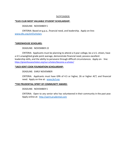# NOVEMBER

# **\*ELKS CLUB MOST VALUABLE STUDENT SCHOLARSHIP:**

DEADLINE: NOVEMBER 5

CRITERIA: Based on g.p.a., financial need, and leadership. Apply on-line: [www.elks.org/enf/scholars](http://www.elks.org/enf/scholars)

# **\*GREENHOUSE SCHOLARS:**

DEADLINE: NOVEMBER 22

CRITERIA: Applicants must be planning to attend a 4-year college, be a U.S. citizen, have a 4.5 unweighted grade point average, demonstrate financial need, possess excellent leadership skills, and the ability to persevere through difficult circumstances. Apply on- line: <https://greenhousescholars.org/our-scholars/become-a-scholar/>

# **\*JACK KENT COOK FOUNDATION SCHOLARSHIP:**

DEADLINE: EARLY NOVEMBER

CRITERIA: Applicants must have GPA of 4.5 or higher, 26 or higher ACT, and financial need. Apply on-line at: [www.jkcf.org](http://www.jkcf.org)

## **\*THE PRUDENTIAL SPIRIT OF COMMUNITY AWARD:**

DEADLINE: NOVEMBER 5

CRITERIA: Open to any senior who has volunteered in their community in the past year. Apply online at: <http://spirit.prudential.com>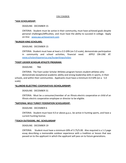# DECEMBER

## **\*AXA SCHOLARSHIP:**

# DEADLINE: DECEMBER 15

CRITERIA: Student must be active in their community, must have achieved goals despite personal challenges/difficulties, and must have the ability to succeed in college. Apply on-line: [www.axa-achievement.com](http://www.axa-achievement.com)

## **\*BURGER KING SCHOLARS:**

# DEADLINE: DECEMBER 15

CRITERIA: Student must have at least a 3.5 GPA (on 5.0 scale), demonstrate participation in community and school activities, financial need. APPLY ON-LINE AT: [www.scholarshipamerica.org/burgerkingscholars](http://www.scholarshipamerica.org/burgerkingscholars)

# **\*FOOT LOCKER SCHOLAR ATHLETE PROGRAM:**

# DEADLINE: TBA

CRITERIA: The Foot Locker Scholar Athletes program honors student-athletes who demonstrate exceptional academic ability and strong leadership skills in sports, in their schools, and within their communities. Applicants must have a minimum 4.0 GPA (on a 5.0 scale).

# **\*ILLINOIS ELECTRIC COOPERATIVES SCHOLARSHIP:**

## DEADLINE: DECEMBER 31

CRITERIA: Must be a consumer/member of an Illinois electric cooperative or child of an Illinois electric cooperative employee or director to be eligible.

## **\*NATIONAL WILD TURKEY FEDERATION SCHOLARSHIP:**

DEADLINE: DECEMBER 6

CRITERIA: Student must have 4.0 or above g.p.a., be active in hunting sports, and have a current hunting license.

## **\*TEACH OUTDOORS, INC. SCHOLARSHIP**

## DEADLINE: DECEMBER 19

CRITERIA: Student must have a minimum GPA of 3.75/5.00. Also required is a 1-2 page essay describing a memorable outdoor experience with a tradition or lesson that was passed on to the applicant in which the applicant will pass on to future generations.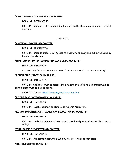# **\*U OF I CHILDREN OF VETERANS SCHOLARSHIP:**

DEADLINE: DECEMBER 15

CRITERIA: Student must be admitted to the U of I and be the natural or adopted child of a veteran.

# **JANUARY**

## **\*AMERICAN LEGION ESSAY CONTEST:**

DEADLINE: FEBRUARY 14

CRITERIA: Open to grades 9-12. Applicants must write an essay on a subject selected by the American Legion.

## **\*CBAI FOUNDATION FOR COMMUNITY BANKING SCHOLARSHIP:**

DEADLINE: JANUARY 24

CRITERIA: Applicants must write essay on "The Importance of Community Banking"

# **\*HEALTH CARE LEADERS SCHOLARSHIP:**

DEADLINE: JANUARY 29

CRITERIA: Applicants must be accepted to a nursing or medical related program, grade point average must be 4.0 and above.

APPLY ON-LINE AT: <http://nurse.org/healthcare-leaders/>

# **\*HELENA ACRE HOMEGROWN SCHOLARSHIP:**

DEADLINE: JANUARY 31

CRITERIA: Applicants must be planning to major in Agriculture.

## **\*ILLINOIS DAUGHTERS OF THE AMERICAN REVOLUTION SCHOLARSHIP:**

DEADLINE: JANUARY 24

CRITERIA: Student must demonstrate financial need, and plan to attend an Illinois public college.

## **\*STIFEL FABRIC OF SOCIETY ESSAY CONTEST:**

DEADLINE: JANUARY 16

CRITERIA: Applicants must write a 600-800 word essay on a chosen topic.

# **\*THE FIRST STEP SCHOLARSHIP:**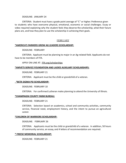#### DEADLINE: JANUARY 24

CRITERIA: Student must have a grade point average of "C" or higher. Preference given to students who have overcome physical, emotional, economic or social challenges. Essay or video required explaining why the student feels they deserve the scholarship, what their future plans are, and how they plan to use the scholarship in achieving their goals.

## **FEBRUARY**

#### **\*AMERICA'S FARMERS GROW AG LEADERS SCHOLARSHIP:**

#### DEADLINE: FEBRUARY

CRITERIA: Applicant must be planning to major in an Ag-related field. Applicants do not have to be members of FFA.

APPLY ON-LINE AT: FFA.org/scholarships

#### **\*AMVETS SERVICE FOUNDATION AND LADIES AUXILIARY SCHOLARSHIPS:**

DEADLINE: FEBRUARY 21

CRITERIA: Applicant must be the child or grandchild of a veteran.

#### **\*BETA SIGMA PSI SCHOLARSHIP:**

DEADLINE: FEBRUARY 10

CRITERIA: For confirmed Lutheran males planning to attend the University of Illinois.

#### **\*CHAMPAIGN COUNTY FARM BUREAU:**

DEADLINE: FEBRUARY 21

CRITERIA: Selection based on academics, school and community activities, community service, financial need, employment history, and the intent to pursue an agricultural career.

#### **\*CHILDREN OF WARRIORS SCHOLARSHIP:**

DEADLINE: FEBRUARY 26

CRITERIA: Applicants must be the child or grandchild of a veteran. In addition, 50 hours of community service, an essay, and 4 letters of recommendation are required.

#### **\* FREESE MEMORIAL SCHOLARSHIP:**

DEADLINE: FEBRUARY 21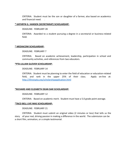CRITERIA: Student must be the son or daughter of a farmer, also based on academics and financial need.

## **\* KATHRYN G. HANSEN (SECRETARIAT) SCHOLARSHIP:**

DEADLINE: FEBRUARY 28

CRITERIA: Awarded to a student pursuing a degree in a secretarial or business-related field.

# **\* MEDIACOM SCHOLARSHIP:**

## DEADLINE: FEBRUARY 7

CRITERIA: Based on academic achievement, leadership, participation in school and community activities, and references from two educators.

# **\*PTA-LILLIAN GLOVER SCHOLARSHIP:**

## DEADLINE: FEBRUARY 14

CRITERIA: Student must be planning to enter the field of education or education-related field, and rank in the upper 25% of their class. Apply on-line at: <http://illinoispta.org/scholarshipapplication.html>

## **\*RICHARD AND ELIZABETH DEAN DAR SCHOLARSHIP:**

DEADLINE: FEBRUARY 12

CRITERIA: Based on academic merit. Student must have a 5.0 grade point average.

## **\*TACO BELL LIVE MAS SCHOLARSHIP:**

# DEADLINE: FEBRUARY 21

CRITERIA: Student must submit an original video (2 minutes or less) that tells us the story of your real, driving passion in making a difference in the world. The submission can be a short film, animation, or a simple testimonial.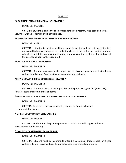# MARCH

## \***ADA MUCKLESTONE MEMORIAL SCHOLARSHIP:**

DEADLINE: MARCH 6

CRITERIA: Student must be the child or grandchild of a veteran. Also based on essay, volunteer work, academics, and financial need.

#### **\*AMERICAN LEGION PAST PRESIDENTS PARLEY SCHOLARSHIP:**

#### DEADLINE: APRIL 2

CRITERIA: Applicants must be seeking a career in Nursing and currently accepted into an accredited nursing program or enrolled in classes required for the nursing program. A brief essay, 3 letters of recommendation, and a copy of the most recent tax returns of the parent and applicant are required.

#### **\*BANK OF RANTOUL SCHOLARSHIP:**

#### DEADLINE: MARCH 13

CRITERIA: Student must rank in the upper half of class and plan to enroll at a 4 year college or university. Requires teacher recommendation forms.

#### **\*BETA SIGMA PHI-XI ETA OMICRON SCHOLARSHIP:**

#### DEADLINE: MARCH 13

CRITERIA: Student must be a senior girl with grade point average of "B" (3.67-4.33). Requires teacher recommendation forms.

#### **\*CHARLES INDUSTRIES ROBERT F. CHARLES MEMORIAL SCHOLARSHIP:**

DEADLINE: MARCH 13

CRITERIA: Based on academics, character, and need. Requires teacher recommendation forms.

#### **\* CHRISTIE FOUNDATION SCHOLARSHIP:**

DEADLINE: MARCH 31

CRITERIA: Student must be planning to enter a health care field. Apply on-line at: www.christiefoundation.org

## **\* DON MYRICK MEMORIAL SCHOLARSHIP:**

DEADLINE: MARCH 13

CRITERIA: Student must be planning to attend a vocational, trade school, or 2-year college OR major in Agriculture. Requires teacher recommendation forms.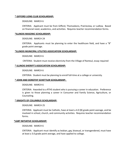## **\* GIFFORD LIONS CLUB SCHOLARSHIP:**

## DEADLINE: MARCH 6

CRITERIA: Applicant must be from Gifford, Thomasboro, Prairieview, or Ludlow. Based on financial need, academics, and activities. Requires teacher recommendation forms.

# **\*ILLINOIS MASONIC SCHOLARSHIP:**

DEADLINE: MARCH 24

CRITERIA: Applicants must be planning to enter the healthcare field, and have a "B" grade point average.

## **\*ILLINOIS MUNICIPAL UTILITIES ASSOCIATION SCHOLARSHIP:**

DEADLINE: MARCH 6

CRITERIA: Student must receive electricity from the Village of Rantoul, essay required

# **\* ILLINOIS SHERIFF'S ASSOCIATION SCHOLARSHIP:**

## DEADLINE: MARCH 6

CRITERIA: Student must be planning to enroll full-time at a college or university.

## **\* JOHN AND DOROTHY SCHETTLER SCHOLARSHIP:**

## DEADLINE: MARCH 6

CRITERIA: Awarded to a RTHS student who is pursuing a career in education. Preference is given to those planning a career in Consumer and Family Science, Agriculture, or Counseling.

## **\* KNIGHTS OF COLUMBUS SCHOLARSHIP:**

# DEADLINE: MARCH 25

CRITERIA: Applicant must be Catholic, have at least a 4.0 (B) grade point average, and be involved in school, church, and community activities. Requires teacher recommendation forms.

## **\*LGBT INITIATIVE SCHOLARSHIP:**

## DEADLINE: MARCH 6

CRITERIA: Applicant must identify as lesbian, gay, bisexual, or transgendered, must have at least a 3.0 grade point average, and have applied to college.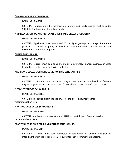## **\*MARINE CORPS SCHOLARSHIPS:**

#### DEADLINE: MARCH 1

CRITERIA: Student must be the child of a Marine, and family income must be under \$80,000. Apply on-line at: mcsf.org/apply

#### **\* MARLENE MONROE AND ARTIE CALBERT, SR. MEMORIAL SCHOLARSHIP:**

#### DEADLINE: MARCH 25

CRITERIA: Applicants must have a B- (3.67) or higher grade point average. Preference given to a student majoring in health or education fields. Essay and teacher recommendation forms required.

#### **\*NAIFA SCHOLARSHIP:**

## DEADLINE: MARCH 25

CRITERIA: Student must be planning to major in Insurance, Finance, Business, or other field related to the Financial Services Industry.

#### **\*PARKLAND COLLEGE/CHRISTIE CLINIC NURSING SCHOLARSHIP:**

#### DEADLINE: MARCH 25

CRITERIA: Student must be an incoming student enrolled in a health professions degree program at Parkland, ACT score of 20 or above or SAT score of 1325 or above.

#### **\* PEO SISTERHOOD SCHOLARSHIP:**

## DEADLINE: MARCH 6

CRITERIA: For senior girls in the upper 1/3 of the class. Requires teacher recommendation forms.

#### **\* RANTOUL CORE CLUB SCHOLARSHIP:**

DEADLINE: MARCH 6

CRITERIA: Applicant must have attended RTHS for one full year. Requires teacher recommendation forms.

## **\*RANTOUL CORE CLUB PARKLAND COLLEGE SCHOLARSHIP:**

## DEADLINE: MARCH 6

CRITERIA: Student must have completed an application to Parkland, and plan on attending there in the fall semester. Requires teacher recommendation forms.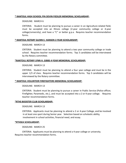# **\* RANTOUL HIGH SCHOOL FFA DEVIN FIEDLER MEMORIAL SCHOLARSHIP:**

## DEADLINE: MARCH 6

CRITERIA: Student must be planning to pursue a career in an Agriculture-related field, must be accepted into an Illinois college (2-year community college or 4-year college/university), and have a "C" or better g.p.a. Requires teacher recommendation forms.

# **\* RANTOUL ROTARY GLENN E. HANSEN 2-YEAR SCHOLARSHIP:**

## DEADLINE: MARCH 13

CRITERIA: Student must be planning to attend a two year community college or trade school. Requires teacher recommendation forms. Top 3 candidates will be interviewed by the Rotary committee.

# **\*RANTOUL ROTARY LYNN H. GIBBS 4-YEAR MEMORIAL SCHOLARSHIP:**

# DEADLINE: MARCH 13

CRITERIA: Student must be planning to attend a four year college and must be in the upper 1/3 of class. Requires teacher recommendation forms. Top 3 candidates will be interviewed by the Rotary committee.

## **\* RANTOUL VOLUNTEER FIREFIGHTERS MEMORIAL SCHOLARSHIP:**

## DEADLINE: MARCH 13

CRITERIA: Student must be planning to pursue a career in Public Service (Police officer, Firefighter, Paramedic, etc.), and must be accepted into a 2 or 4-year college. Requires teacher recommendation forms.

## **\*RTHS BOOSTER CLUB SCHOLARSHIP:**

## DEADLINE: MARCH 13

CRITERIA: Applicants must be planning to attend a 2 or 4-year College, and be involved in at least one sport during Senior year. Selection based on scholastic ability, involvement in school activities, financial need, and essay.

## **\*RTHSEA SCHOLARSHIP:**

# DEADLINE: MARCH 25

CRITERIA: Applicants must be planning to attend a 4-year college or university. Requires teacher recommendation forms.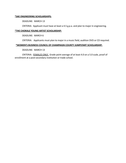# **\*SAE ENGINEERING SCHOLARSHIPS:**

DEADLINE: MARCH 13

CRITERIA: Applicant must have at least a 4.5 g.p.a. and plan to major in engineering.

# **\*THE CHORALE YOUNG ARTIST SCHOLARSHIP:**

DEADLINE: MARCH 6

CRITERIA: Applicants must plan to major in a music field, audition DVD or CD required.

# **\*WOMEN'S BUSINESS COUNCIL OF CHAMPAIGN COUNTY JUMPSTART SCHOLARSHIP:**

DEADLINE: MARCH 13

CRITERIA: FEMALES ONLY. Grade point average of at least 4.0 on a 5.0 scale, proof of enrollment at a post-secondary institution or trade school.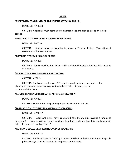## APRIL

#### **\*BUSEY BANK COMMUNITY REINVESTMENT ACT SCHOLARSHIP:**

DEADLINE: APRIL 24

CRITERIA: Applicants must demonstrate financial need and plan to attend an Illinois college.

#### **\*CHAMPAIGN COUNTY CRIME STOPPERS SCHOLARSHIP**

DEADLINE: MAY 10

CRITERIA: Student must be planning to major in Criminal Justice. Two letters of recommendation are required.

#### **\*COMMUNITY SERVICES BLOCK GRANT**:

DEADLINE: APRIL 5

CRITERIA: Family must be at or below 125% of Federal Poverty Guidelines, GPA must be at least 4.0.

#### **\*DUANE G. WOLKEN MEMORIAL SCHOLARSHIP:**

CRITERIA: APRIL 3

CRITERIA: Applicants must have a "C" or better grade point average and must be planning to pursue a career in an Agriculture-related field. Requires teacher recommendation forms.

## **\*ILLINOIS HEARTLAND DECORATIVE ARTISTS SCHOLARSHIP:**

DEADLINE: APRIL 3

CRITERIA: Student must be planning to pursue a career in fine arts.

#### **\*PARKLAND COLLEGE JENNIFER SINCLAIR SCHOLARSHIP:**

DEADLINE: APRIL 12

CRITERIA: Applicant must have completed the FAFSA, plus submit a one-page (minimum) essay describing his/her short and long-term goals and how this scholarship will help him/her to "Live Legendary."

#### **\*PARKLAND COLLEGE MARILYN HUCKABA SCHOLARSHIP:**

DEADLINE: APRIL 10

CRITERIA: Applicant must be planning to attend Parkland and have a minimum 4.4 grade point average. Trustee Scholarship recipients cannot apply.